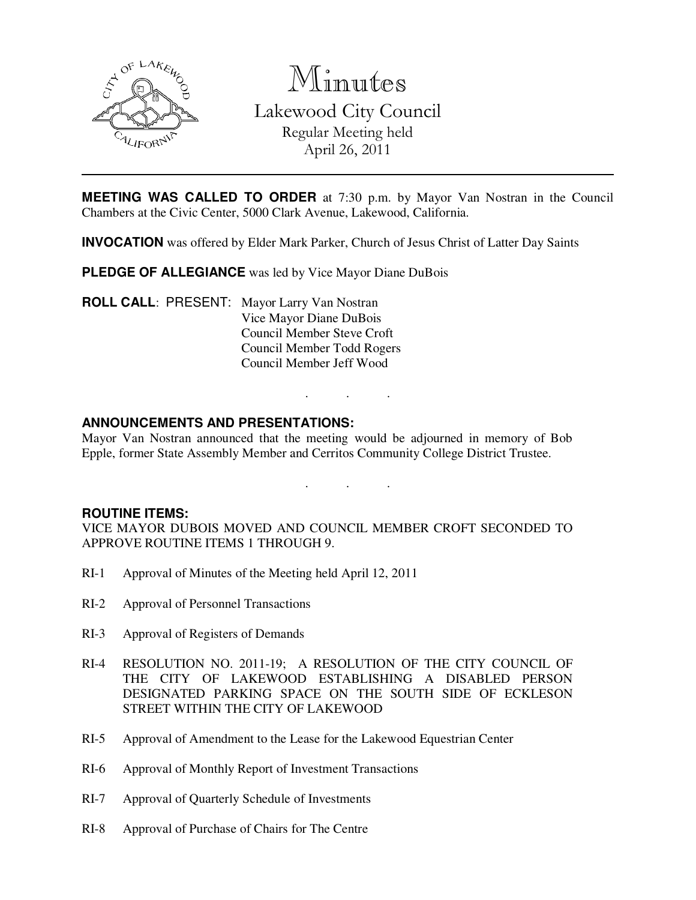

Minutes Lakewood City Council Regular Meeting held April 26, 2011

**MEETING WAS CALLED TO ORDER** at 7:30 p.m. by Mayor Van Nostran in the Council Chambers at the Civic Center, 5000 Clark Avenue, Lakewood, California.

**INVOCATION** was offered by Elder Mark Parker, Church of Jesus Christ of Latter Day Saints

**PLEDGE OF ALLEGIANCE** was led by Vice Mayor Diane DuBois

**ROLL CALL**: PRESENT: Mayor Larry Van Nostran Vice Mayor Diane DuBois Council Member Steve Croft Council Member Todd Rogers Council Member Jeff Wood

# **ANNOUNCEMENTS AND PRESENTATIONS:**

Mayor Van Nostran announced that the meeting would be adjourned in memory of Bob Epple, former State Assembly Member and Cerritos Community College District Trustee.

. . .

. . .

### **ROUTINE ITEMS:**

VICE MAYOR DUBOIS MOVED AND COUNCIL MEMBER CROFT SECONDED TO APPROVE ROUTINE ITEMS 1 THROUGH 9.

- RI-1 Approval of Minutes of the Meeting held April 12, 2011
- RI-2 Approval of Personnel Transactions
- RI-3 Approval of Registers of Demands
- RI-4 RESOLUTION NO. 2011-19; A RESOLUTION OF THE CITY COUNCIL OF THE CITY OF LAKEWOOD ESTABLISHING A DISABLED PERSON DESIGNATED PARKING SPACE ON THE SOUTH SIDE OF ECKLESON STREET WITHIN THE CITY OF LAKEWOOD
- RI-5 Approval of Amendment to the Lease for the Lakewood Equestrian Center
- RI-6 Approval of Monthly Report of Investment Transactions
- RI-7 Approval of Quarterly Schedule of Investments
- RI-8 Approval of Purchase of Chairs for The Centre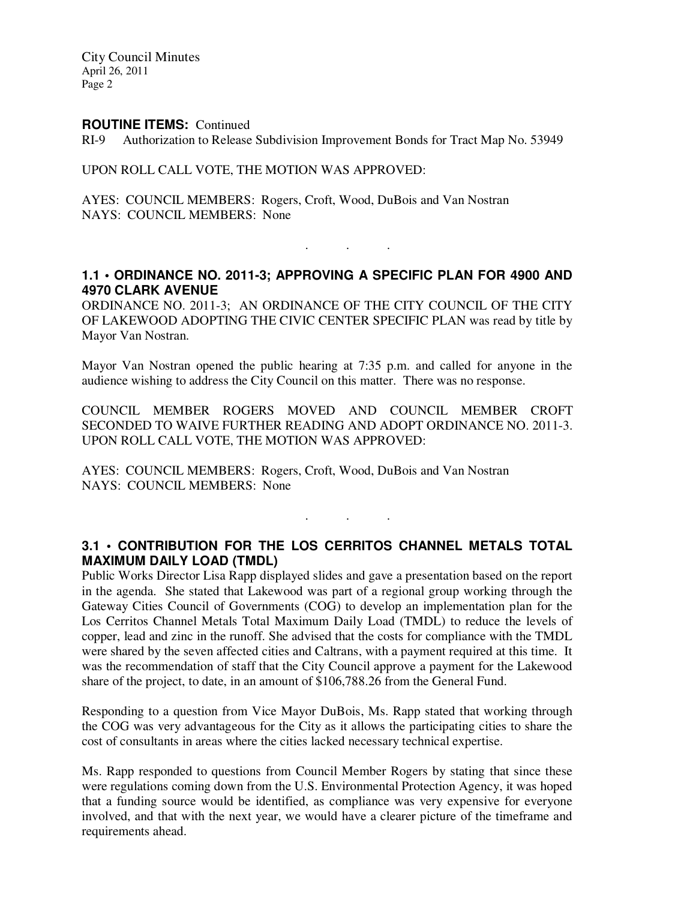City Council Minutes April 26, 2011 Page 2

#### **ROUTINE ITEMS:** Continued

RI-9 Authorization to Release Subdivision Improvement Bonds for Tract Map No. 53949

#### UPON ROLL CALL VOTE, THE MOTION WAS APPROVED:

AYES: COUNCIL MEMBERS: Rogers, Croft, Wood, DuBois and Van Nostran NAYS: COUNCIL MEMBERS: None

# **1.1 • ORDINANCE NO. 2011-3; APPROVING A SPECIFIC PLAN FOR 4900 AND 4970 CLARK AVENUE**

. . .

ORDINANCE NO. 2011-3; AN ORDINANCE OF THE CITY COUNCIL OF THE CITY OF LAKEWOOD ADOPTING THE CIVIC CENTER SPECIFIC PLAN was read by title by Mayor Van Nostran.

Mayor Van Nostran opened the public hearing at 7:35 p.m. and called for anyone in the audience wishing to address the City Council on this matter. There was no response.

COUNCIL MEMBER ROGERS MOVED AND COUNCIL MEMBER CROFT SECONDED TO WAIVE FURTHER READING AND ADOPT ORDINANCE NO. 2011-3. UPON ROLL CALL VOTE, THE MOTION WAS APPROVED:

AYES: COUNCIL MEMBERS: Rogers, Croft, Wood, DuBois and Van Nostran NAYS: COUNCIL MEMBERS: None

# **3.1 • CONTRIBUTION FOR THE LOS CERRITOS CHANNEL METALS TOTAL MAXIMUM DAILY LOAD (TMDL)**

. . .

Public Works Director Lisa Rapp displayed slides and gave a presentation based on the report in the agenda. She stated that Lakewood was part of a regional group working through the Gateway Cities Council of Governments (COG) to develop an implementation plan for the Los Cerritos Channel Metals Total Maximum Daily Load (TMDL) to reduce the levels of copper, lead and zinc in the runoff. She advised that the costs for compliance with the TMDL were shared by the seven affected cities and Caltrans, with a payment required at this time. It was the recommendation of staff that the City Council approve a payment for the Lakewood share of the project, to date, in an amount of \$106,788.26 from the General Fund.

Responding to a question from Vice Mayor DuBois, Ms. Rapp stated that working through the COG was very advantageous for the City as it allows the participating cities to share the cost of consultants in areas where the cities lacked necessary technical expertise.

Ms. Rapp responded to questions from Council Member Rogers by stating that since these were regulations coming down from the U.S. Environmental Protection Agency, it was hoped that a funding source would be identified, as compliance was very expensive for everyone involved, and that with the next year, we would have a clearer picture of the timeframe and requirements ahead.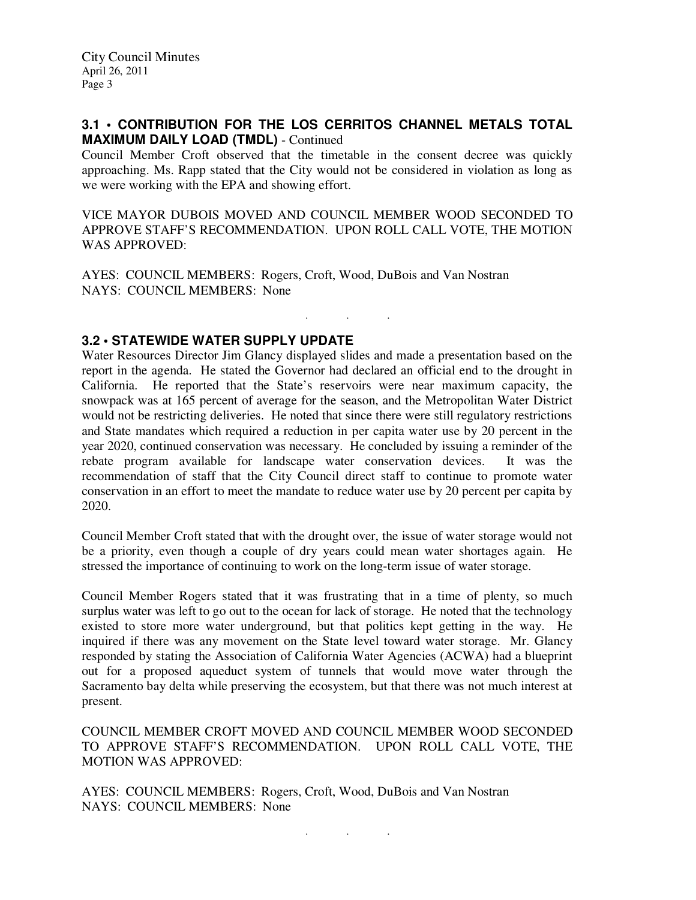### **3.1 • CONTRIBUTION FOR THE LOS CERRITOS CHANNEL METALS TOTAL MAXIMUM DAILY LOAD (TMDL)** - Continued

Council Member Croft observed that the timetable in the consent decree was quickly approaching. Ms. Rapp stated that the City would not be considered in violation as long as we were working with the EPA and showing effort.

VICE MAYOR DUBOIS MOVED AND COUNCIL MEMBER WOOD SECONDED TO APPROVE STAFF'S RECOMMENDATION. UPON ROLL CALL VOTE, THE MOTION WAS APPROVED:

. . .

AYES: COUNCIL MEMBERS: Rogers, Croft, Wood, DuBois and Van Nostran NAYS: COUNCIL MEMBERS: None

# **3.2 • STATEWIDE WATER SUPPLY UPDATE**

Water Resources Director Jim Glancy displayed slides and made a presentation based on the report in the agenda. He stated the Governor had declared an official end to the drought in California. He reported that the State's reservoirs were near maximum capacity, the snowpack was at 165 percent of average for the season, and the Metropolitan Water District would not be restricting deliveries. He noted that since there were still regulatory restrictions and State mandates which required a reduction in per capita water use by 20 percent in the year 2020, continued conservation was necessary. He concluded by issuing a reminder of the rebate program available for landscape water conservation devices. It was the recommendation of staff that the City Council direct staff to continue to promote water conservation in an effort to meet the mandate to reduce water use by 20 percent per capita by 2020.

Council Member Croft stated that with the drought over, the issue of water storage would not be a priority, even though a couple of dry years could mean water shortages again. He stressed the importance of continuing to work on the long-term issue of water storage.

Council Member Rogers stated that it was frustrating that in a time of plenty, so much surplus water was left to go out to the ocean for lack of storage. He noted that the technology existed to store more water underground, but that politics kept getting in the way. He inquired if there was any movement on the State level toward water storage. Mr. Glancy responded by stating the Association of California Water Agencies (ACWA) had a blueprint out for a proposed aqueduct system of tunnels that would move water through the Sacramento bay delta while preserving the ecosystem, but that there was not much interest at present.

COUNCIL MEMBER CROFT MOVED AND COUNCIL MEMBER WOOD SECONDED TO APPROVE STAFF'S RECOMMENDATION. UPON ROLL CALL VOTE, THE MOTION WAS APPROVED:

AYES: COUNCIL MEMBERS: Rogers, Croft, Wood, DuBois and Van Nostran NAYS: COUNCIL MEMBERS: None

. . .